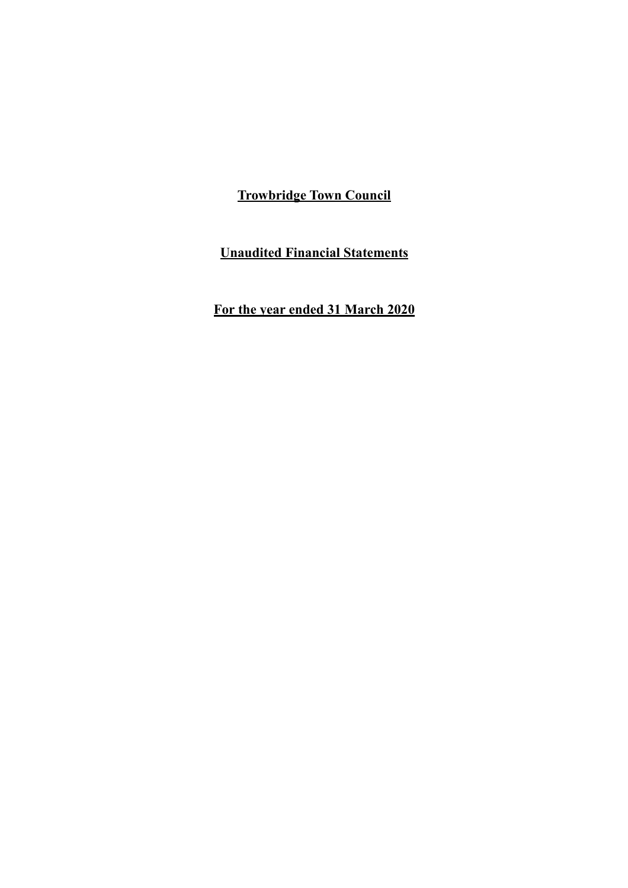**Unaudited Financial Statements**

**For the year ended 31 March 2020**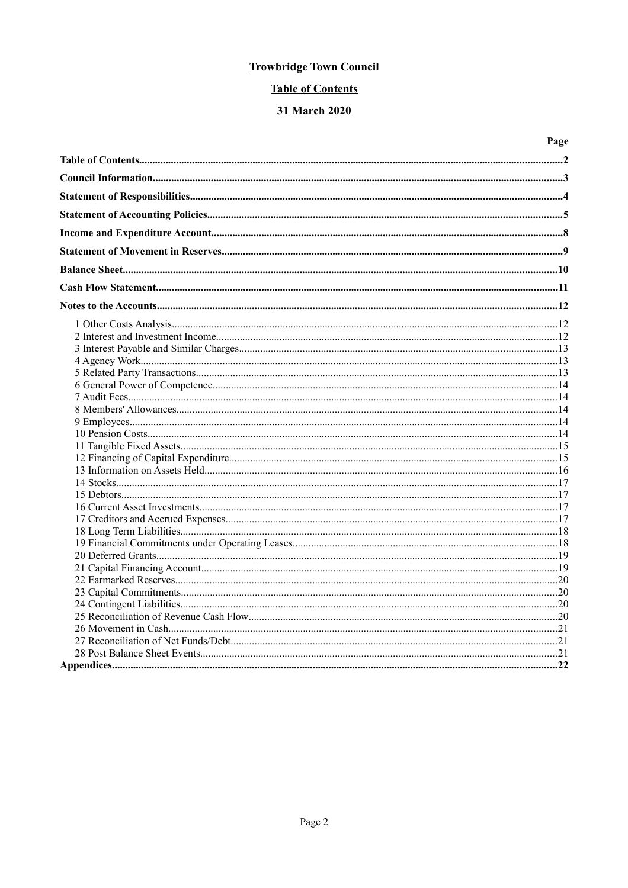# **Table of Contents**

## 31 March 2020

| Page |
|------|
|      |
|      |
|      |
|      |
|      |
|      |
|      |
|      |
|      |
|      |
|      |
|      |
|      |
|      |
|      |
|      |
|      |
|      |
|      |
|      |
|      |
|      |
|      |
|      |
|      |
|      |
|      |
|      |
|      |
|      |
|      |
|      |
|      |
|      |
|      |
|      |
|      |
|      |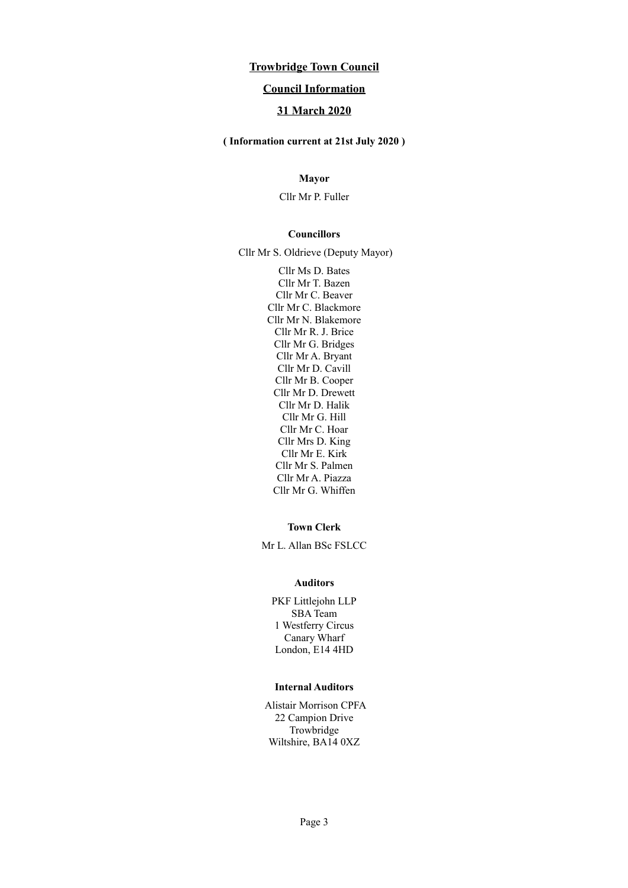## **Council Information**

## **31 March 2020**

#### **( Information current at 21st July 2020 )**

## **Mayor**

Cllr Mr P. Fuller

#### **Councillors**

Cllr Mr S. Oldrieve (Deputy Mayor)

Cllr Ms D. Bates Cllr Mr T. Bazen Cllr Mr C. Beaver Cllr Mr C. Blackmore Cllr Mr N. Blakemore Cllr Mr R. J. Brice Cllr Mr G. Bridges Cllr Mr A. Bryant Cllr Mr D. Cavill Cllr Mr B. Cooper Cllr Mr D. Drewett Cllr Mr D. Halik Cllr Mr G. Hill Cllr Mr C. Hoar Cllr Mrs D. King Cllr Mr E. Kirk Cllr Mr S. Palmen Cllr Mr A. Piazza Cllr Mr G. Whiffen

#### **Town Clerk**

Mr L. Allan BSc FSLCC

#### **Auditors**

PKF Littlejohn LLP SBA Team 1 Westferry Circus Canary Wharf London, E14 4HD

### **Internal Auditors**

Alistair Morrison CPFA 22 Campion Drive Trowbridge Wiltshire, BA14 0XZ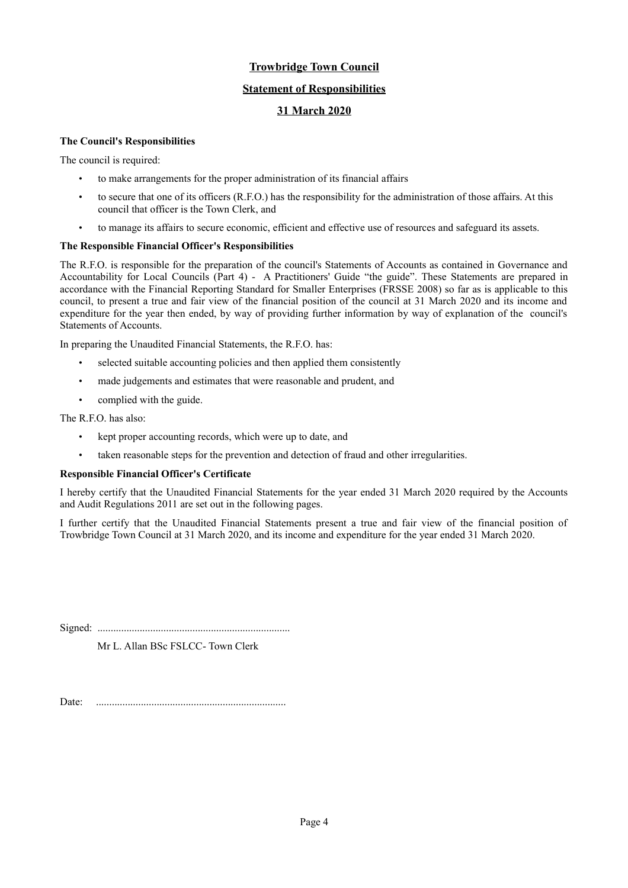## **Statement of Responsibilities**

## **31 March 2020**

### **The Council's Responsibilities**

The council is required:

- to make arrangements for the proper administration of its financial affairs
- to secure that one of its officers (R.F.O.) has the responsibility for the administration of those affairs. At this council that officer is the Town Clerk, and
- to manage its affairs to secure economic, efficient and effective use of resources and safeguard its assets.

#### **The Responsible Financial Officer's Responsibilities**

The R.F.O. is responsible for the preparation of the council's Statements of Accounts as contained in Governance and Accountability for Local Councils (Part 4) - A Practitioners' Guide "the guide". These Statements are prepared in accordance with the Financial Reporting Standard for Smaller Enterprises (FRSSE 2008) so far as is applicable to this council, to present a true and fair view of the financial position of the council at 31 March 2020 and its income and expenditure for the year then ended, by way of providing further information by way of explanation of the council's Statements of Accounts.

In preparing the Unaudited Financial Statements, the R.F.O. has:

- selected suitable accounting policies and then applied them consistently
- made judgements and estimates that were reasonable and prudent, and
- complied with the guide.

The R.F.O. has also:

- kept proper accounting records, which were up to date, and
- taken reasonable steps for the prevention and detection of fraud and other irregularities.

#### **Responsible Financial Officer's Certificate**

I hereby certify that the Unaudited Financial Statements for the year ended 31 March 2020 required by the Accounts and Audit Regulations 2011 are set out in the following pages.

I further certify that the Unaudited Financial Statements present a true and fair view of the financial position of Trowbridge Town Council at 31 March 2020, and its income and expenditure for the year ended 31 March 2020.

Signed: .........................................................................

Mr L. Allan BSc FSLCC- Town Clerk

Date: ........................................................................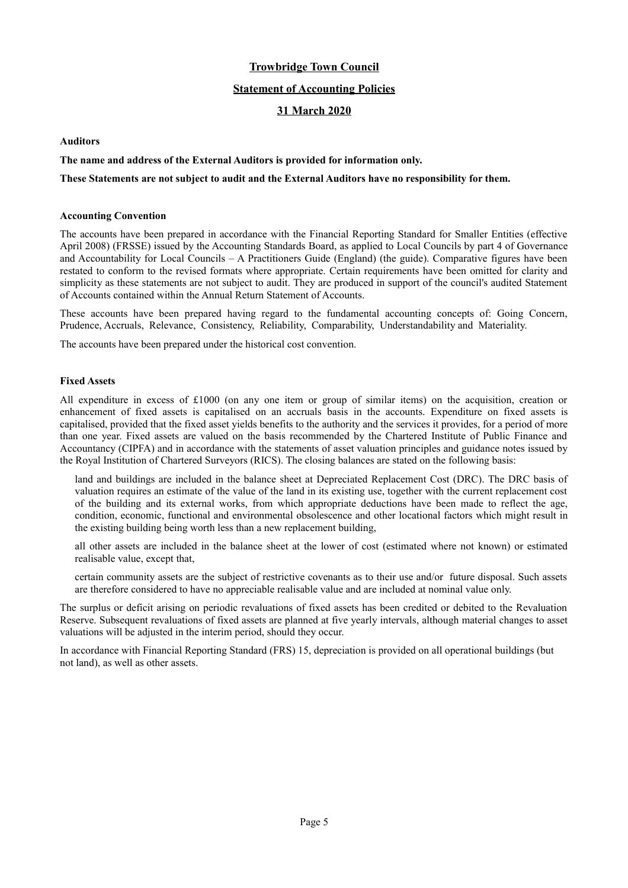### **Statement of Accounting Policies**

## **31 March 2020**

#### **Auditors**

#### **The name and address of the External Auditors is provided for information only.**

#### **These Statements are not subject to audit and the External Auditors have no responsibility for them.**

#### **Accounting Convention**

The accounts have been prepared in accordance with the Financial Reporting Standard for Smaller Entities (effective April 2008) (FRSSE) issued by the Accounting Standards Board, as applied to Local Councils by part 4 of Governance and Accountability for Local Councils – A Practitioners Guide (England) (the guide). Comparative figures have been restated to conform to the revised formats where appropriate. Certain requirements have been omitted for clarity and simplicity as these statements are not subject to audit. They are produced in support of the council's audited Statement of Accounts contained within the Annual Return Statement of Accounts.

These accounts have been prepared having regard to the fundamental accounting concepts of: Going Concern, Prudence, Accruals, Relevance, Consistency, Reliability, Comparability, Understandability and Materiality.

The accounts have been prepared under the historical cost convention.

#### **Fixed Assets**

All expenditure in excess of £1000 (on any one item or group of similar items) on the acquisition, creation or enhancement of fixed assets is capitalised on an accruals basis in the accounts. Expenditure on fixed assets is capitalised, provided that the fixed asset yields benefits to the authority and the services it provides, for a period of more than one year. Fixed assets are valued on the basis recommended by the Chartered Institute of Public Finance and Accountancy (CIPFA) and in accordance with the statements of asset valuation principles and guidance notes issued by the Royal Institution of Chartered Surveyors (RICS). The closing balances are stated on the following basis:

land and buildings are included in the balance sheet at Depreciated Replacement Cost (DRC). The DRC basis of valuation requires an estimate of the value of the land in its existing use, together with the current replacement cost of the building and its external works, from which appropriate deductions have been made to reflect the age, condition, economic, functional and environmental obsolescence and other locational factors which might result in the existing building being worth less than a new replacement building,

all other assets are included in the balance sheet at the lower of cost (estimated where not known) or estimated realisable value, except that,

certain community assets are the subject of restrictive covenants as to their use and/or future disposal. Such assets are therefore considered to have no appreciable realisable value and are included at nominal value only.

The surplus or deficit arising on periodic revaluations of fixed assets has been credited or debited to the Revaluation Reserve. Subsequent revaluations of fixed assets are planned at five yearly intervals, although material changes to asset valuations will be adjusted in the interim period, should they occur.

In accordance with Financial Reporting Standard (FRS) 15, depreciation is provided on all operational buildings (but not land), as well as other assets.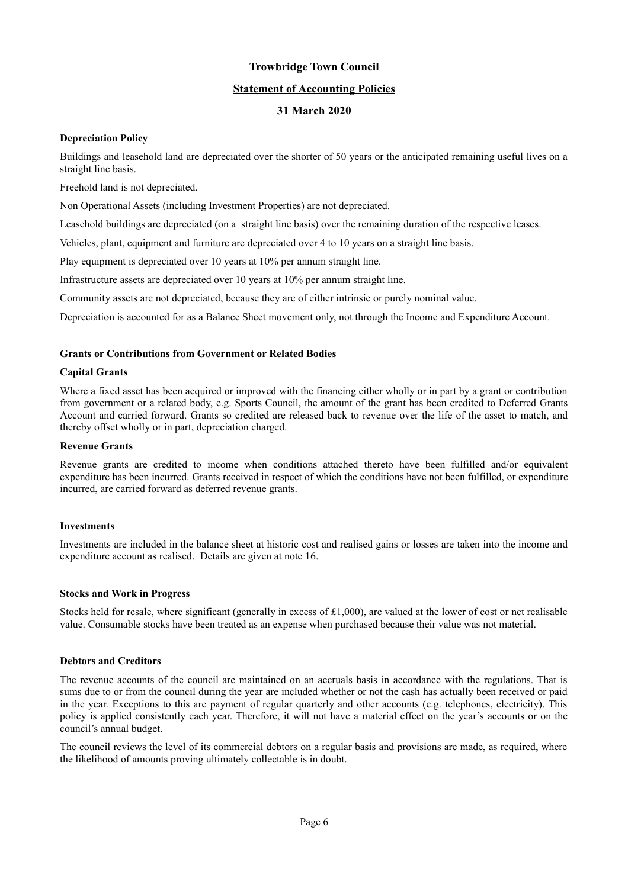## **Statement of Accounting Policies**

## **31 March 2020**

### **Depreciation Policy**

Buildings and leasehold land are depreciated over the shorter of 50 years or the anticipated remaining useful lives on a straight line basis.

Freehold land is not depreciated.

Non Operational Assets (including Investment Properties) are not depreciated.

Leasehold buildings are depreciated (on a straight line basis) over the remaining duration of the respective leases.

Vehicles, plant, equipment and furniture are depreciated over 4 to 10 years on a straight line basis.

Play equipment is depreciated over 10 years at 10% per annum straight line.

Infrastructure assets are depreciated over 10 years at 10% per annum straight line.

Community assets are not depreciated, because they are of either intrinsic or purely nominal value.

Depreciation is accounted for as a Balance Sheet movement only, not through the Income and Expenditure Account.

#### **Grants or Contributions from Government or Related Bodies**

#### **Capital Grants**

Where a fixed asset has been acquired or improved with the financing either wholly or in part by a grant or contribution from government or a related body, e.g. Sports Council, the amount of the grant has been credited to Deferred Grants Account and carried forward. Grants so credited are released back to revenue over the life of the asset to match, and thereby offset wholly or in part, depreciation charged.

#### **Revenue Grants**

Revenue grants are credited to income when conditions attached thereto have been fulfilled and/or equivalent expenditure has been incurred. Grants received in respect of which the conditions have not been fulfilled, or expenditure incurred, are carried forward as deferred revenue grants.

### **Investments**

Investments are included in the balance sheet at historic cost and realised gains or losses are taken into the income and expenditure account as realised. Details are given at note 16.

#### **Stocks and Work in Progress**

Stocks held for resale, where significant (generally in excess of  $£1,000$ ), are valued at the lower of cost or net realisable value. Consumable stocks have been treated as an expense when purchased because their value was not material.

#### **Debtors and Creditors**

The revenue accounts of the council are maintained on an accruals basis in accordance with the regulations. That is sums due to or from the council during the year are included whether or not the cash has actually been received or paid in the year. Exceptions to this are payment of regular quarterly and other accounts (e.g. telephones, electricity). This policy is applied consistently each year. Therefore, it will not have a material effect on the year's accounts or on the council's annual budget.

The council reviews the level of its commercial debtors on a regular basis and provisions are made, as required, where the likelihood of amounts proving ultimately collectable is in doubt.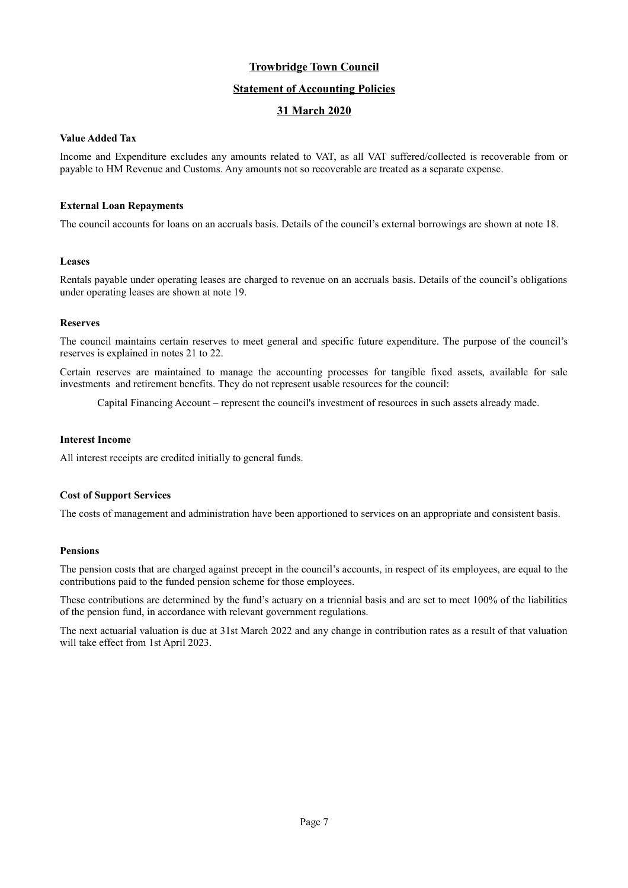### **Statement of Accounting Policies**

## **31 March 2020**

### **Value Added Tax**

Income and Expenditure excludes any amounts related to VAT, as all VAT suffered/collected is recoverable from or payable to HM Revenue and Customs. Any amounts not so recoverable are treated as a separate expense.

#### **External Loan Repayments**

The council accounts for loans on an accruals basis. Details of the council's external borrowings are shown at note 18.

#### **Leases**

Rentals payable under operating leases are charged to revenue on an accruals basis. Details of the council's obligations under operating leases are shown at note 19.

### **Reserves**

The council maintains certain reserves to meet general and specific future expenditure. The purpose of the council's reserves is explained in notes 21 to 22.

Certain reserves are maintained to manage the accounting processes for tangible fixed assets, available for sale investments and retirement benefits. They do not represent usable resources for the council:

Capital Financing Account – represent the council's investment of resources in such assets already made.

### **Interest Income**

All interest receipts are credited initially to general funds.

### **Cost of Support Services**

The costs of management and administration have been apportioned to services on an appropriate and consistent basis.

### **Pensions**

The pension costs that are charged against precept in the council's accounts, in respect of its employees, are equal to the contributions paid to the funded pension scheme for those employees.

These contributions are determined by the fund's actuary on a triennial basis and are set to meet 100% of the liabilities of the pension fund, in accordance with relevant government regulations.

The next actuarial valuation is due at 31st March 2022 and any change in contribution rates as a result of that valuation will take effect from 1st April 2023.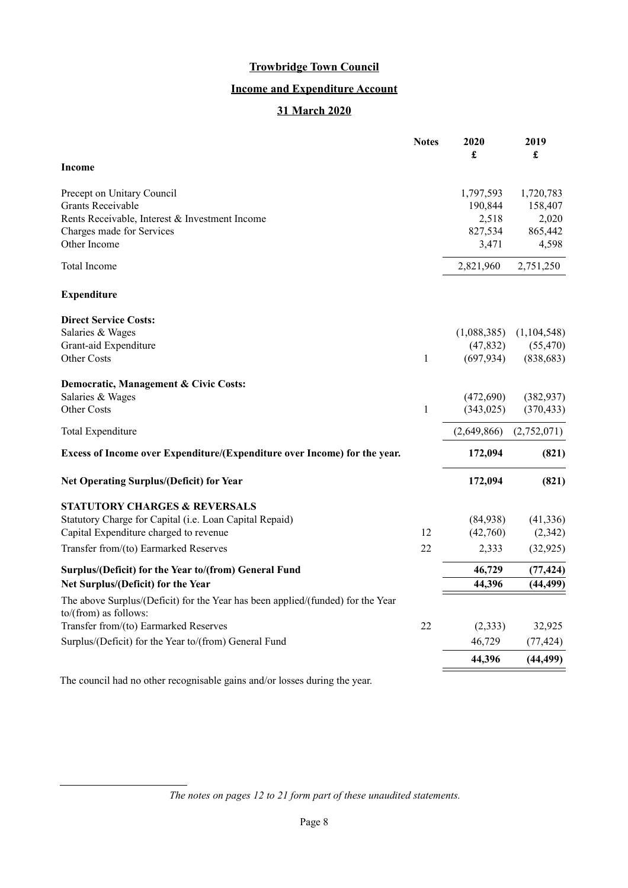# **Income and Expenditure Account**

## **31 March 2020**

|                                                                                                          | <b>Notes</b> | 2020<br>$\pmb{\mathfrak{L}}$ | 2019<br>£   |
|----------------------------------------------------------------------------------------------------------|--------------|------------------------------|-------------|
| <b>Income</b>                                                                                            |              |                              |             |
| Precept on Unitary Council                                                                               |              | 1,797,593                    | 1,720,783   |
| <b>Grants Receivable</b>                                                                                 |              | 190,844                      | 158,407     |
| Rents Receivable, Interest & Investment Income                                                           |              | 2,518                        | 2,020       |
| Charges made for Services                                                                                |              | 827,534                      | 865,442     |
| Other Income                                                                                             |              | 3,471                        | 4,598       |
| Total Income                                                                                             |              | 2,821,960                    | 2,751,250   |
| <b>Expenditure</b>                                                                                       |              |                              |             |
| <b>Direct Service Costs:</b>                                                                             |              |                              |             |
| Salaries & Wages                                                                                         |              | (1,088,385)                  | (1,104,548) |
| Grant-aid Expenditure                                                                                    |              | (47, 832)                    | (55, 470)   |
| Other Costs                                                                                              | 1            | (697, 934)                   | (838, 683)  |
| Democratic, Management & Civic Costs:                                                                    |              |                              |             |
| Salaries & Wages                                                                                         |              | (472,690)                    | (382, 937)  |
| <b>Other Costs</b>                                                                                       | 1            | (343, 025)                   | (370, 433)  |
| Total Expenditure                                                                                        |              | (2,649,866)                  | (2,752,071) |
| Excess of Income over Expenditure/(Expenditure over Income) for the year.                                |              | 172,094                      | (821)       |
| <b>Net Operating Surplus/(Deficit) for Year</b>                                                          |              | 172,094                      | (821)       |
| <b>STATUTORY CHARGES &amp; REVERSALS</b>                                                                 |              |                              |             |
| Statutory Charge for Capital (i.e. Loan Capital Repaid)                                                  |              | (84,938)                     | (41, 336)   |
| Capital Expenditure charged to revenue                                                                   | 12           | (42,760)                     | (2,342)     |
| Transfer from/(to) Earmarked Reserves                                                                    | 22           | 2,333                        | (32, 925)   |
| Surplus/(Deficit) for the Year to/(from) General Fund                                                    |              | 46,729                       | (77, 424)   |
| Net Surplus/(Deficit) for the Year                                                                       |              | 44,396                       | (44, 499)   |
| The above Surplus/(Deficit) for the Year has been applied/(funded) for the Year<br>to/(from) as follows: |              |                              |             |
| Transfer from/(to) Earmarked Reserves                                                                    | 22           | (2,333)                      | 32,925      |
| Surplus/(Deficit) for the Year to/(from) General Fund                                                    |              | 46,729                       | (77, 424)   |
|                                                                                                          |              | 44,396                       | (44, 499)   |
|                                                                                                          |              |                              |             |

The council had no other recognisable gains and/or losses during the year.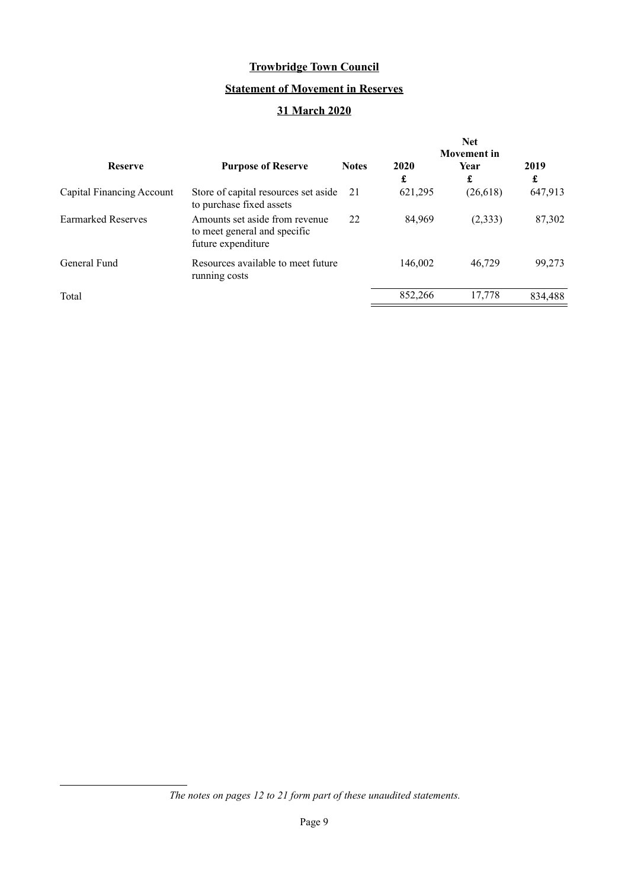# **Statement of Movement in Reserves**

## **31 March 2020**

|                           |                                                                                      |              | <b>Net</b><br><b>Movement</b> in |           |           |  |
|---------------------------|--------------------------------------------------------------------------------------|--------------|----------------------------------|-----------|-----------|--|
| <b>Reserve</b>            | <b>Purpose of Reserve</b>                                                            | <b>Notes</b> | 2020<br>£                        | Year<br>£ | 2019<br>£ |  |
| Capital Financing Account | Store of capital resources set aside<br>to purchase fixed assets                     | 21           | 621,295                          | (26,618)  | 647,913   |  |
| <b>Earmarked Reserves</b> | Amounts set aside from revenue<br>to meet general and specific<br>future expenditure | 22           | 84.969                           | (2, 333)  | 87,302    |  |
| General Fund              | Resources available to meet future<br>running costs                                  |              | 146,002                          | 46,729    | 99,273    |  |
| Total                     |                                                                                      |              | 852,266                          | 17,778    | 834,488   |  |

*The notes on pages [12](#page-11-0) to [21](#page-20-0) form part of these unaudited statements.*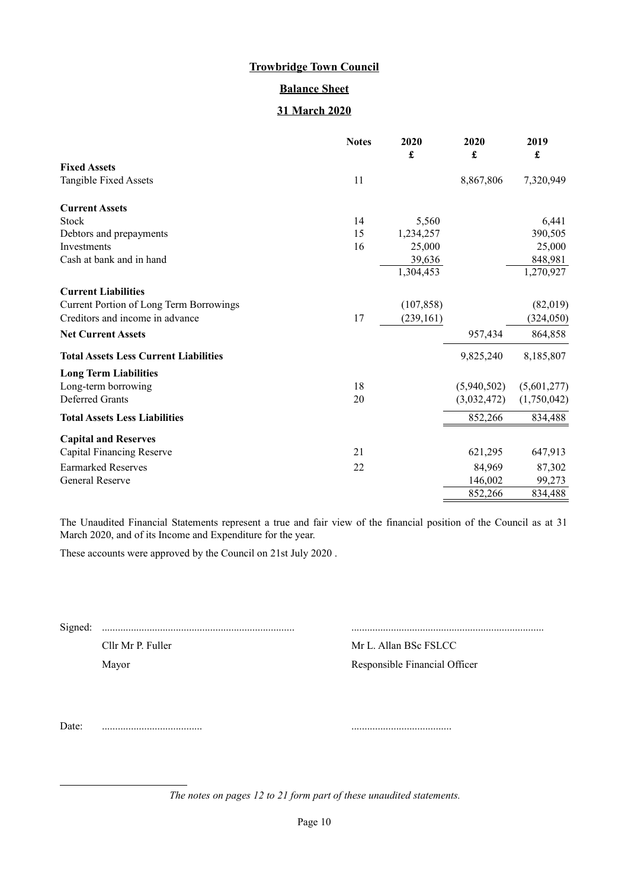## **Balance Sheet**

## **31 March 2020**

|                                                | <b>Notes</b> | 2020<br>£  | 2020<br>£   | 2019<br>£   |
|------------------------------------------------|--------------|------------|-------------|-------------|
| <b>Fixed Assets</b>                            |              |            |             |             |
| Tangible Fixed Assets                          | 11           |            | 8,867,806   | 7,320,949   |
| <b>Current Assets</b>                          |              |            |             |             |
| Stock                                          | 14           | 5,560      |             | 6,441       |
| Debtors and prepayments                        | 15           | 1,234,257  |             | 390,505     |
| Investments                                    | 16           | 25,000     |             | 25,000      |
| Cash at bank and in hand                       |              | 39,636     |             | 848,981     |
|                                                |              | 1,304,453  |             | 1,270,927   |
| <b>Current Liabilities</b>                     |              |            |             |             |
| <b>Current Portion of Long Term Borrowings</b> |              | (107, 858) |             | (82,019)    |
| Creditors and income in advance                | 17           | (239, 161) |             | (324, 050)  |
| <b>Net Current Assets</b>                      |              |            | 957,434     | 864,858     |
| <b>Total Assets Less Current Liabilities</b>   |              |            | 9,825,240   | 8,185,807   |
| <b>Long Term Liabilities</b>                   |              |            |             |             |
| Long-term borrowing                            | 18           |            | (5,940,502) | (5,601,277) |
| Deferred Grants                                | 20           |            | (3,032,472) | (1,750,042) |
| <b>Total Assets Less Liabilities</b>           |              |            | 852,266     | 834,488     |
| <b>Capital and Reserves</b>                    |              |            |             |             |
| Capital Financing Reserve                      | 21           |            | 621,295     | 647,913     |
| <b>Earmarked Reserves</b>                      | 22           |            | 84,969      | 87,302      |
| General Reserve                                |              |            | 146,002     | 99,273      |
|                                                |              |            | 852,266     | 834,488     |

The Unaudited Financial Statements represent a true and fair view of the financial position of the Council as at 31 March 2020, and of its Income and Expenditure for the year.

These accounts were approved by the Council on 21st July 2020 .

Signed: ......................................................................... .........................................................................

Cllr Mr P. Fuller Mr L. Allan BSc FSLCC

Mayor Responsible Financial Officer

Date: ...................................... ......................................

*The notes on pages [12](#page-11-0) to [21](#page-20-0) form part of these unaudited statements.*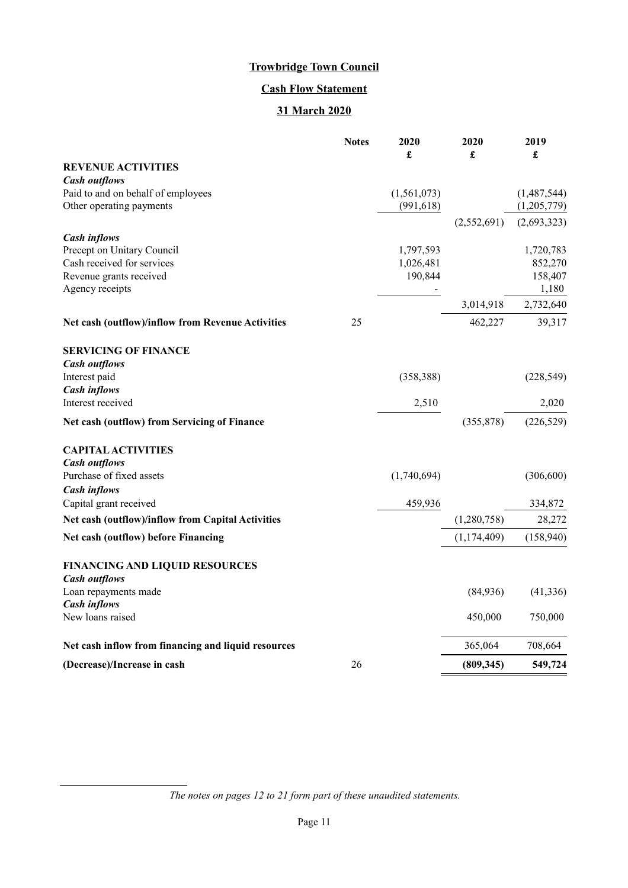# **Cash Flow Statement**

## **31 March 2020**

|                                                     | <b>Notes</b> | 2020<br>£   | 2020<br>£   | 2019<br>£   |
|-----------------------------------------------------|--------------|-------------|-------------|-------------|
| <b>REVENUE ACTIVITIES</b>                           |              |             |             |             |
| <b>Cash outflows</b>                                |              |             |             |             |
| Paid to and on behalf of employees                  |              | (1,561,073) |             | (1,487,544) |
| Other operating payments                            |              | (991, 618)  |             | (1,205,779) |
|                                                     |              |             | (2,552,691) | (2,693,323) |
| <b>Cash inflows</b>                                 |              |             |             |             |
| Precept on Unitary Council                          |              | 1,797,593   |             | 1,720,783   |
| Cash received for services                          |              | 1,026,481   |             | 852,270     |
| Revenue grants received                             |              | 190,844     |             | 158,407     |
| Agency receipts                                     |              |             |             | 1,180       |
|                                                     |              |             | 3,014,918   | 2,732,640   |
| Net cash (outflow)/inflow from Revenue Activities   | 25           |             | 462,227     | 39,317      |
| <b>SERVICING OF FINANCE</b>                         |              |             |             |             |
| <b>Cash outflows</b>                                |              |             |             |             |
| Interest paid                                       |              | (358, 388)  |             | (228, 549)  |
| <b>Cash inflows</b>                                 |              |             |             |             |
| Interest received                                   |              | 2,510       |             | 2,020       |
| Net cash (outflow) from Servicing of Finance        |              |             | (355, 878)  | (226, 529)  |
| <b>CAPITAL ACTIVITIES</b>                           |              |             |             |             |
| <b>Cash outflows</b>                                |              |             |             |             |
| Purchase of fixed assets                            |              | (1,740,694) |             | (306, 600)  |
| <b>Cash inflows</b>                                 |              |             |             |             |
| Capital grant received                              |              | 459,936     |             | 334,872     |
| Net cash (outflow)/inflow from Capital Activities   |              |             | (1,280,758) | 28,272      |
| Net cash (outflow) before Financing                 |              |             | (1,174,409) | (158,940)   |
| <b>FINANCING AND LIQUID RESOURCES</b>               |              |             |             |             |
| <b>Cash outflows</b>                                |              |             |             |             |
| Loan repayments made                                |              |             | (84,936)    | (41, 336)   |
| <b>Cash inflows</b>                                 |              |             |             |             |
| New loans raised                                    |              |             | 450,000     | 750,000     |
| Net cash inflow from financing and liquid resources |              |             | 365,064     | 708,664     |
| (Decrease)/Increase in cash                         | 26           |             | (809, 345)  | 549,724     |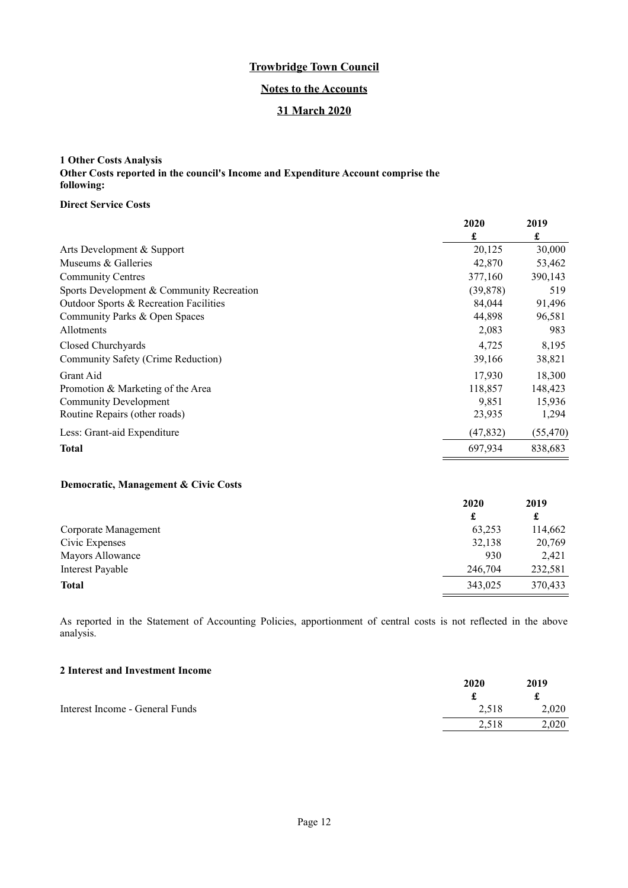## **Notes to the Accounts**

## **31 March 2020**

## <span id="page-11-0"></span>**1 Other Costs Analysis Other Costs reported in the council's Income and Expenditure Account comprise the following:**

### **Direct Service Costs**

|                                           | 2020      | 2019      |
|-------------------------------------------|-----------|-----------|
|                                           | £         | £         |
| Arts Development & Support                | 20,125    | 30,000    |
| Museums & Galleries                       | 42,870    | 53,462    |
| <b>Community Centres</b>                  | 377,160   | 390,143   |
| Sports Development & Community Recreation | (39, 878) | 519       |
| Outdoor Sports & Recreation Facilities    | 84.044    | 91,496    |
| Community Parks & Open Spaces             | 44,898    | 96,581    |
| <b>Allotments</b>                         | 2,083     | 983       |
| Closed Churchyards                        | 4,725     | 8,195     |
| Community Safety (Crime Reduction)        | 39,166    | 38,821    |
| Grant Aid                                 | 17,930    | 18,300    |
| Promotion & Marketing of the Area         | 118,857   | 148,423   |
| <b>Community Development</b>              | 9,851     | 15,936    |
| Routine Repairs (other roads)             | 23,935    | 1,294     |
| Less: Grant-aid Expenditure               | (47, 832) | (55, 470) |
| <b>Total</b>                              | 697,934   | 838,683   |

## **Democratic, Management & Civic Costs**

|                      | 2020    | 2019    |
|----------------------|---------|---------|
|                      | £       | £       |
| Corporate Management | 63,253  | 114,662 |
| Civic Expenses       | 32,138  | 20,769  |
| Mayors Allowance     | 930     | 2,421   |
| Interest Payable     | 246,704 | 232,581 |
| <b>Total</b>         | 343,025 | 370,433 |
|                      |         |         |

As reported in the Statement of Accounting Policies, apportionment of central costs is not reflected in the above analysis.

### **2 Interest and Investment Income**

|                                 | 2020  | 2019  |
|---------------------------------|-------|-------|
|                                 |       |       |
| Interest Income - General Funds | 2,518 | 2,020 |
|                                 | 2.518 | 2.020 |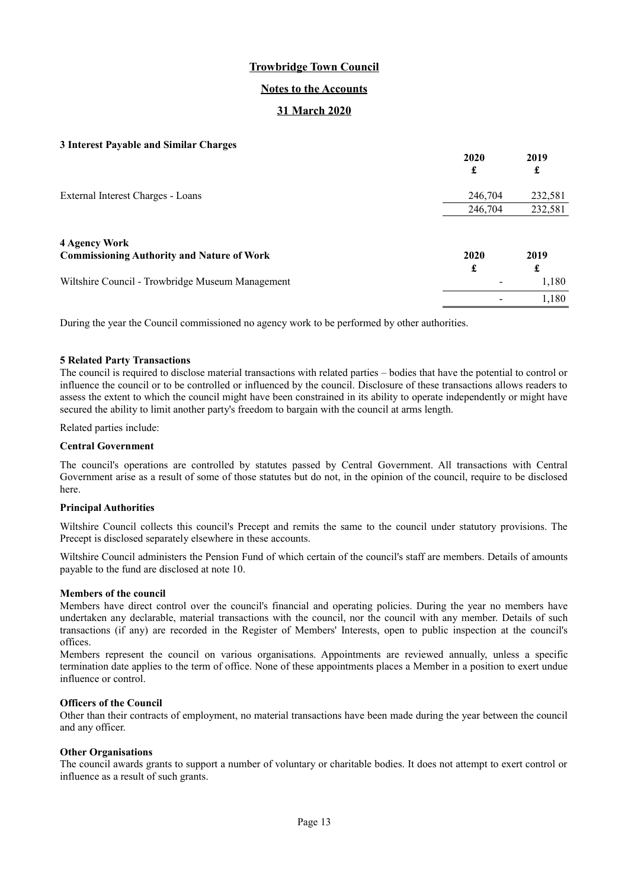### **Notes to the Accounts**

## **31 March 2020**

#### **3 Interest Payable and Similar Charges**

|                                                   | 2020<br>£ | 2019<br>£ |
|---------------------------------------------------|-----------|-----------|
| External Interest Charges - Loans                 | 246,704   | 232,581   |
|                                                   | 246,704   | 232,581   |
| <b>4 Agency Work</b>                              |           |           |
| <b>Commissioning Authority and Nature of Work</b> | 2020<br>£ | 2019<br>£ |
| Wiltshire Council - Trowbridge Museum Management  |           | 1,180     |
|                                                   |           | 1,180     |

During the year the Council commissioned no agency work to be performed by other authorities.

#### **5 Related Party Transactions**

The council is required to disclose material transactions with related parties – bodies that have the potential to control or influence the council or to be controlled or influenced by the council. Disclosure of these transactions allows readers to assess the extent to which the council might have been constrained in its ability to operate independently or might have secured the ability to limit another party's freedom to bargain with the council at arms length.

Related parties include:

#### **Central Government**

The council's operations are controlled by statutes passed by Central Government. All transactions with Central Government arise as a result of some of those statutes but do not, in the opinion of the council, require to be disclosed here.

#### **Principal Authorities**

Wiltshire Council collects this council's Precept and remits the same to the council under statutory provisions. The Precept is disclosed separately elsewhere in these accounts.

Wiltshire Council administers the Pension Fund of which certain of the council's staff are members. Details of amounts payable to the fund are disclosed at note 10.

#### **Members of the council**

Members have direct control over the council's financial and operating policies. During the year no members have undertaken any declarable, material transactions with the council, nor the council with any member. Details of such transactions (if any) are recorded in the Register of Members' Interests, open to public inspection at the council's offices.

Members represent the council on various organisations. Appointments are reviewed annually, unless a specific termination date applies to the term of office. None of these appointments places a Member in a position to exert undue influence or control.

#### **Officers of the Council**

Other than their contracts of employment, no material transactions have been made during the year between the council and any officer.

#### **Other Organisations**

The council awards grants to support a number of voluntary or charitable bodies. It does not attempt to exert control or influence as a result of such grants.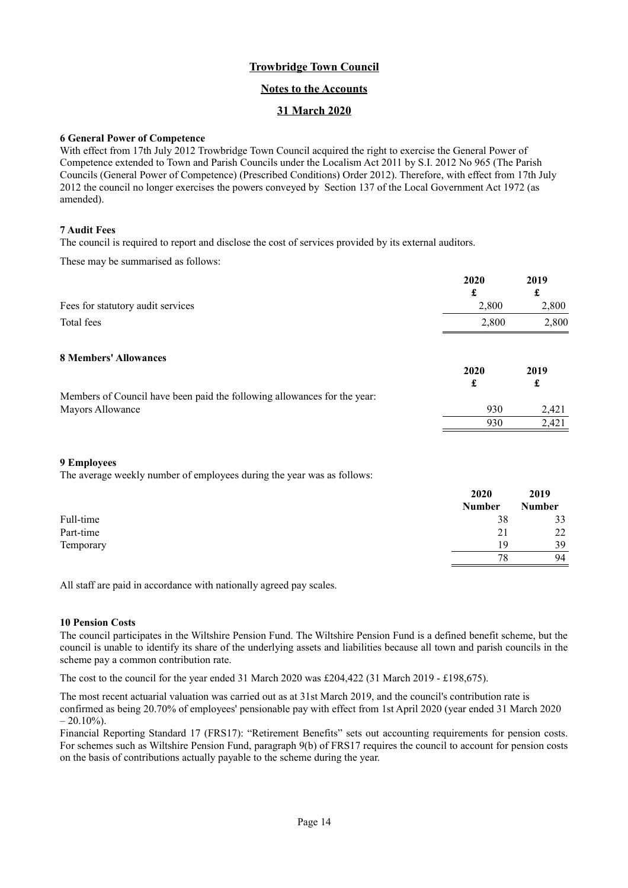## **Notes to the Accounts**

## **31 March 2020**

### **6 General Power of Competence**

With effect from 17th July 2012 Trowbridge Town Council acquired the right to exercise the General Power of Competence extended to Town and Parish Councils under the Localism Act 2011 by S.I. 2012 No 965 (The Parish Councils (General Power of Competence) (Prescribed Conditions) Order 2012). Therefore, with effect from 17th July 2012 the council no longer exercises the powers conveyed by Section 137 of the Local Government Act 1972 (as amended).

### **7 Audit Fees**

The council is required to report and disclose the cost of services provided by its external auditors.

These may be summarised as follows:

| 2020  | 2019  |
|-------|-------|
| £     | £     |
| 2,800 | 2,800 |
| 2,800 | 2,800 |
| 2020  | 2019  |
| £     | £     |
|       |       |
| 930   | 2,421 |
| 930   | 2,421 |
|       |       |

### **9 Employees**

The average weekly number of employees during the year was as follows:

|           | 2020          | 2019          |
|-----------|---------------|---------------|
|           | <b>Number</b> | <b>Number</b> |
| Full-time | 38            | 33            |
| Part-time | 21            | 22            |
| Temporary | 19            | 39            |
|           | 78            | 94            |

All staff are paid in accordance with nationally agreed pay scales.

### **10 Pension Costs**

The council participates in the Wiltshire Pension Fund. The Wiltshire Pension Fund is a defined benefit scheme, but the council is unable to identify its share of the underlying assets and liabilities because all town and parish councils in the scheme pay a common contribution rate.

The cost to the council for the year ended 31 March 2020 was £204,422 (31 March 2019 - £198,675).

The most recent actuarial valuation was carried out as at 31st March 2019, and the council's contribution rate is confirmed as being 20.70% of employees' pensionable pay with effect from 1st April 2020 (year ended 31 March 2020  $-20.10\%$ ).

Financial Reporting Standard 17 (FRS17): "Retirement Benefits" sets out accounting requirements for pension costs. For schemes such as Wiltshire Pension Fund, paragraph 9(b) of FRS17 requires the council to account for pension costs on the basis of contributions actually payable to the scheme during the year.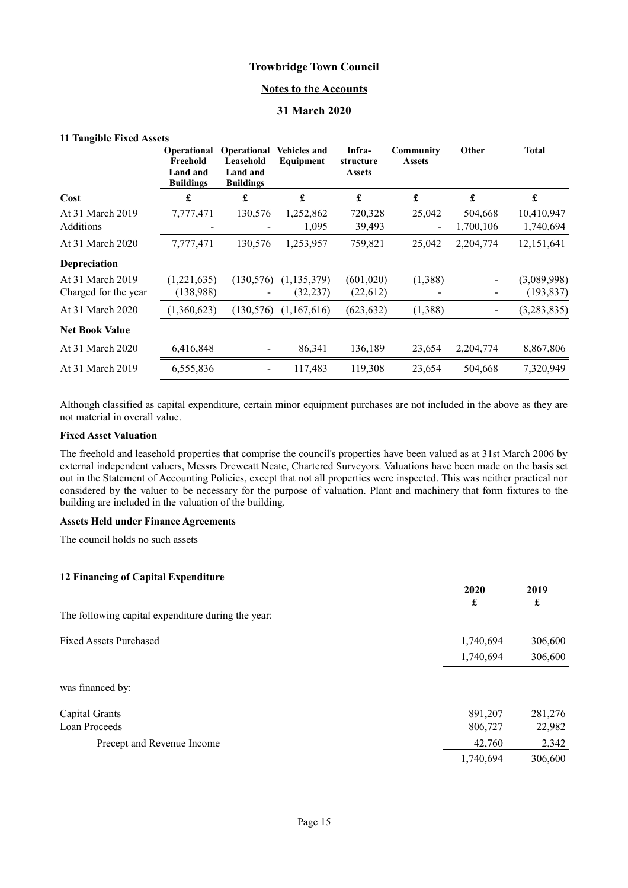### **Notes to the Accounts**

## **31 March 2020**

#### **11 Tangible Fixed Assets**

|                                          | <b>Operational</b><br>Freehold<br>Land and<br><b>Buildings</b> | Operational<br>Leasehold<br>Land and<br><b>Buildings</b> | <b>Vehicles and</b><br>Equipment | Infra-<br>structure<br><b>Assets</b> | Community<br><b>Assets</b> | Other                | <b>Total</b>              |
|------------------------------------------|----------------------------------------------------------------|----------------------------------------------------------|----------------------------------|--------------------------------------|----------------------------|----------------------|---------------------------|
| Cost                                     | £                                                              | £                                                        | £                                | £                                    | $\pmb{\mathfrak{L}}$       | £                    | £                         |
| At 31 March 2019<br><b>Additions</b>     | 7,777,471                                                      | 130,576                                                  | 1,252,862<br>1,095               | 720,328<br>39,493                    | 25,042                     | 504,668<br>1,700,106 | 10,410,947<br>1,740,694   |
| At 31 March 2020                         | 7,777,471                                                      | 130,576                                                  | 1,253,957                        | 759,821                              | 25,042                     | 2,204,774            | 12,151,641                |
| Depreciation                             |                                                                |                                                          |                                  |                                      |                            |                      |                           |
| At 31 March 2019<br>Charged for the year | (1,221,635)<br>(138,988)                                       | (130, 576)                                               | (1, 135, 379)<br>(32, 237)       | (601, 020)<br>(22,612)               | (1,388)                    |                      | (3,089,998)<br>(193, 837) |
| At 31 March 2020                         | (1,360,623)                                                    | (130, 576)                                               | (1,167,616)                      | (623, 632)                           | (1,388)                    | $\blacksquare$       | (3,283,835)               |
| <b>Net Book Value</b>                    |                                                                |                                                          |                                  |                                      |                            |                      |                           |
| At 31 March 2020                         | 6,416,848                                                      |                                                          | 86,341                           | 136,189                              | 23,654                     | 2,204,774            | 8,867,806                 |
| At 31 March 2019                         | 6,555,836                                                      |                                                          | 117,483                          | 119,308                              | 23,654                     | 504,668              | 7,320,949                 |

Although classified as capital expenditure, certain minor equipment purchases are not included in the above as they are not material in overall value.

#### **Fixed Asset Valuation**

The freehold and leasehold properties that comprise the council's properties have been valued as at 31st March 2006 by external independent valuers, Messrs Dreweatt Neate, Chartered Surveyors. Valuations have been made on the basis set out in the Statement of Accounting Policies, except that not all properties were inspected. This was neither practical nor considered by the valuer to be necessary for the purpose of valuation. Plant and machinery that form fixtures to the building are included in the valuation of the building.

> **2020 2019** £ £

#### **Assets Held under Finance Agreements**

The council holds no such assets

## **12 Financing of Capital Expenditure**

The following capital expenditure during the year:

| <b>Fixed Assets Purchased</b> | 1,740,694 | 306,600 |
|-------------------------------|-----------|---------|
|                               | 1,740,694 | 306,600 |
| was financed by:              |           |         |
| Capital Grants                | 891,207   | 281,276 |
| Loan Proceeds                 | 806,727   | 22,982  |
| Precept and Revenue Income    | 42,760    | 2,342   |
|                               | 1,740,694 | 306,600 |
|                               |           |         |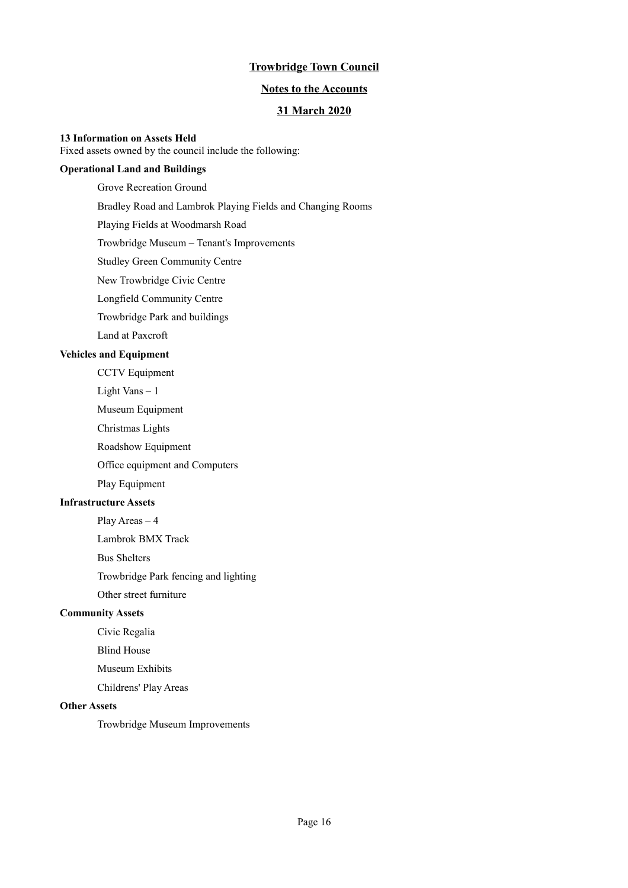### **Notes to the Accounts**

## **31 March 2020**

### **13 Information on Assets Held**

Fixed assets owned by the council include the following:

## **Operational Land and Buildings**

Grove Recreation Ground Bradley Road and Lambrok Playing Fields and Changing Rooms Playing Fields at Woodmarsh Road Trowbridge Museum – Tenant's Improvements Studley Green Community Centre New Trowbridge Civic Centre Longfield Community Centre Trowbridge Park and buildings Land at Paxcroft **Vehicles and Equipment** CCTV Equipment

Light Vans – 1

Museum Equipment

Christmas Lights

Roadshow Equipment

Office equipment and Computers

Play Equipment

## **Infrastructure Assets**

Play Areas – 4

Lambrok BMX Track

Bus Shelters

Trowbridge Park fencing and lighting

Other street furniture

### **Community Assets**

Civic Regalia

Blind House

Museum Exhibits

Childrens' Play Areas

### **Other Assets**

Trowbridge Museum Improvements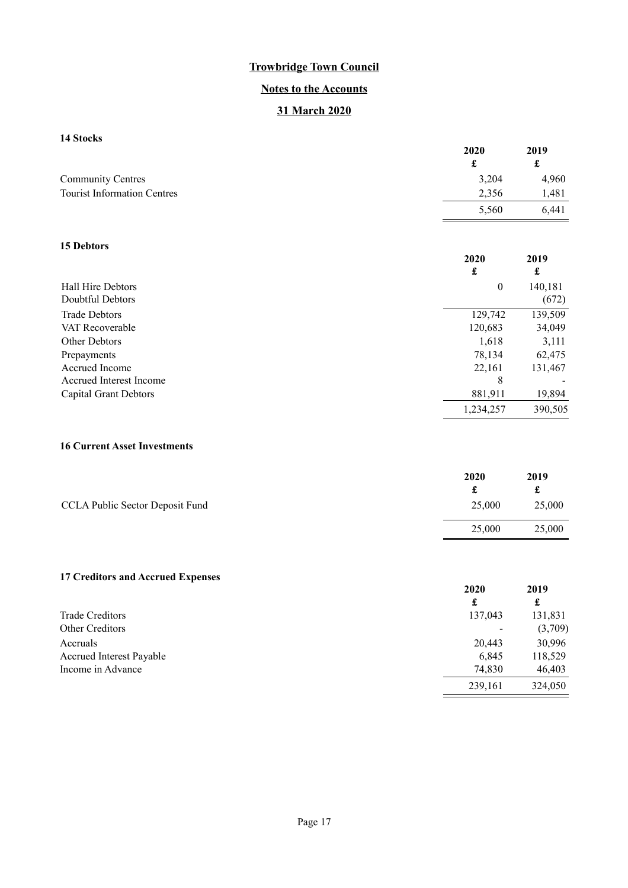# **Notes to the Accounts**

## **31 March 2020**

## **14 Stocks**

|                                       | 2020<br>£        | 2019<br>$\pmb{\mathfrak{L}}$ |
|---------------------------------------|------------------|------------------------------|
| <b>Community Centres</b>              | 3,204            | 4,960                        |
| <b>Tourist Information Centres</b>    | 2,356            | 1,481                        |
|                                       | 5,560            | 6,441                        |
| 15 Debtors                            |                  |                              |
|                                       | 2020<br>£        | 2019<br>£                    |
| Hall Hire Debtors<br>Doubtful Debtors | $\boldsymbol{0}$ | 140,181<br>(672)             |
| <b>Trade Debtors</b>                  | 129,742          | 139,509                      |
| VAT Recoverable                       | 120,683          | 34,049                       |
| Other Debtors                         | 1,618            | 3,111                        |
| Prepayments                           | 78,134           | 62,475                       |
| Accrued Income                        | 22,161           | 131,467                      |
| Accrued Interest Income               | 8                |                              |
| <b>Capital Grant Debtors</b>          | 881,911          | 19,894                       |
|                                       | 1,234,257        | 390,505                      |
| <b>16 Current Asset Investments</b>   |                  |                              |

|                                 | 2020   | 2019   |
|---------------------------------|--------|--------|
|                                 |        |        |
| CCLA Public Sector Deposit Fund | 25,000 | 25,000 |
|                                 | 25,000 | 25,000 |

# **17 Creditors and Accrued Expenses**

|                          | 2020<br>£ | 2019<br>£ |
|--------------------------|-----------|-----------|
| Trade Creditors          | 137,043   | 131,831   |
| <b>Other Creditors</b>   |           | (3,709)   |
| Accruals                 | 20,443    | 30,996    |
| Accrued Interest Payable | 6,845     | 118,529   |
| Income in Advance        | 74,830    | 46,403    |
|                          | 239,161   | 324,050   |

347,019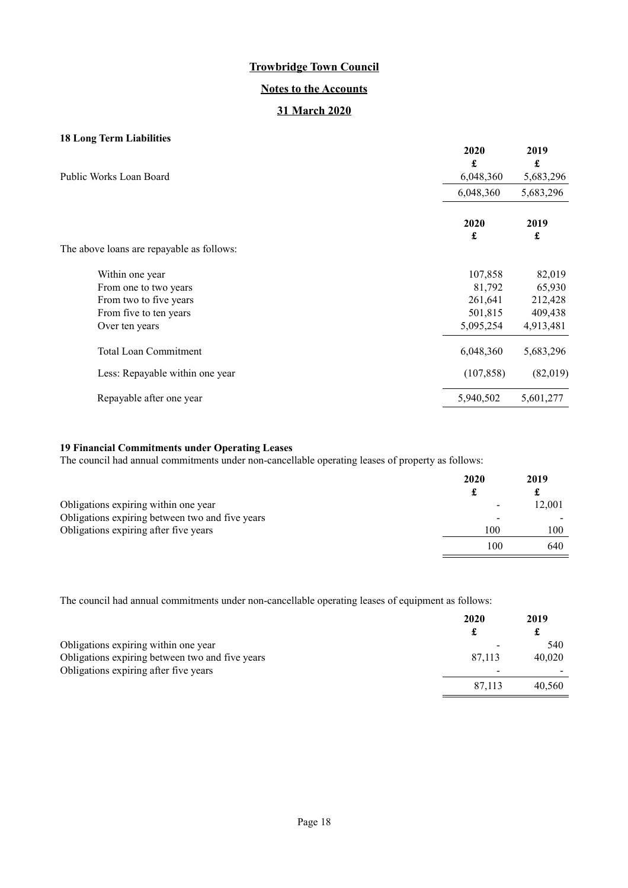## **Notes to the Accounts**

## **31 March 2020**

## **18 Long Term Liabilities**

| Public Works Loan Board                   | 2020<br>£<br>6,048,360 | 2019<br>£<br>5,683,296 |
|-------------------------------------------|------------------------|------------------------|
|                                           | 6,048,360              | 5,683,296              |
|                                           | 2020<br>£              | 2019<br>£              |
| The above loans are repayable as follows: |                        |                        |
| Within one year                           | 107,858                | 82,019                 |
| From one to two years                     | 81,792                 | 65,930                 |
| From two to five years                    | 261,641                | 212,428                |
| From five to ten years                    | 501,815                | 409,438                |
| Over ten years                            | 5,095,254              | 4,913,481              |
| <b>Total Loan Commitment</b>              | 6,048,360              | 5,683,296              |
| Less: Repayable within one year           | (107, 858)             | (82,019)               |
| Repayable after one year                  | 5,940,502              | 5,601,277              |
|                                           |                        |                        |

## **19 Financial Commitments under Operating Leases**

The council had annual commitments under non-cancellable operating leases of property as follows:

|                                                 | 2020 | 2019<br>£ |
|-------------------------------------------------|------|-----------|
| Obligations expiring within one year            |      | 12,001    |
| Obligations expiring between two and five years |      |           |
| Obligations expiring after five years           | 100  | 100       |
|                                                 | 100  | 640       |

The council had annual commitments under non-cancellable operating leases of equipment as follows:

|                                                 | 2020   | 2019   |
|-------------------------------------------------|--------|--------|
|                                                 |        |        |
| Obligations expiring within one year            |        | 540    |
| Obligations expiring between two and five years | 87,113 | 40,020 |
| Obligations expiring after five years           |        |        |
|                                                 | 87.113 | 40,560 |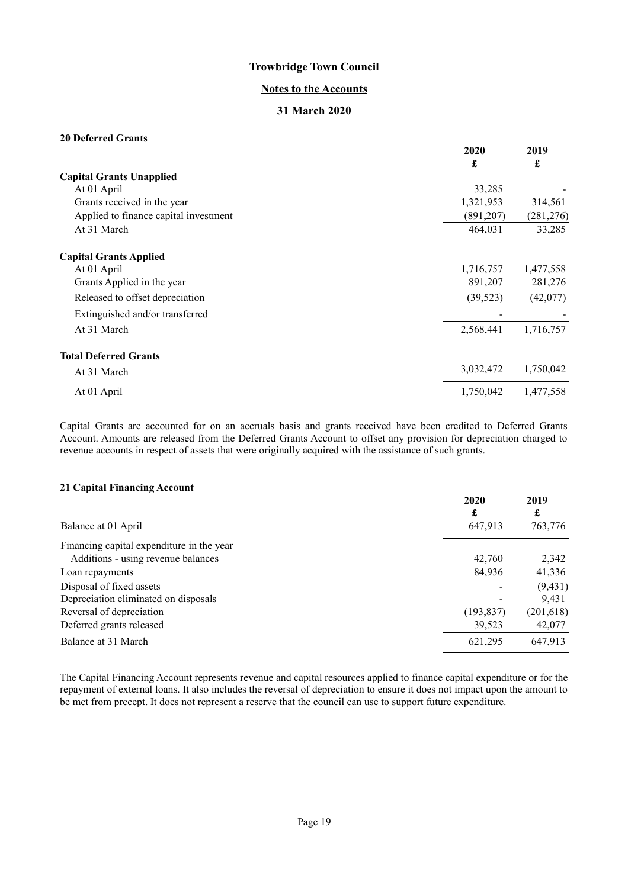### **Notes to the Accounts**

## **31 March 2020**

## **20 Deferred Grants**

|                                       | 2020      | 2019       |
|---------------------------------------|-----------|------------|
|                                       | £         | £          |
| <b>Capital Grants Unapplied</b>       |           |            |
| At 01 April                           | 33,285    |            |
| Grants received in the year           | 1,321,953 | 314,561    |
| Applied to finance capital investment | (891,207) | (281, 276) |
| At 31 March                           | 464,031   | 33,285     |
| <b>Capital Grants Applied</b>         |           |            |
| At 01 April                           | 1,716,757 | 1,477,558  |
| Grants Applied in the year            | 891,207   | 281,276    |
| Released to offset depreciation       | (39, 523) | (42,077)   |
| Extinguished and/or transferred       |           |            |
| At 31 March                           | 2,568,441 | 1,716,757  |
| <b>Total Deferred Grants</b>          |           |            |
| At 31 March                           | 3,032,472 | 1,750,042  |
| At 01 April                           | 1,750,042 | 1,477,558  |

Capital Grants are accounted for on an accruals basis and grants received have been credited to Deferred Grants Account. Amounts are released from the Deferred Grants Account to offset any provision for depreciation charged to revenue accounts in respect of assets that were originally acquired with the assistance of such grants.

### **21 Capital Financing Account**

| $\mu$ 1 Capital 1 mancing riccount        |            |            |
|-------------------------------------------|------------|------------|
|                                           | 2020<br>£  | 2019<br>£  |
| Balance at 01 April                       | 647,913    | 763,776    |
| Financing capital expenditure in the year |            |            |
| Additions - using revenue balances        | 42,760     | 2,342      |
| Loan repayments                           | 84,936     | 41,336     |
| Disposal of fixed assets                  |            | (9, 431)   |
| Depreciation eliminated on disposals      |            | 9.431      |
| Reversal of depreciation                  | (193, 837) | (201, 618) |
| Deferred grants released                  | 39,523     | 42,077     |
| Balance at 31 March                       | 621,295    | 647,913    |

The Capital Financing Account represents revenue and capital resources applied to finance capital expenditure or for the repayment of external loans. It also includes the reversal of depreciation to ensure it does not impact upon the amount to be met from precept. It does not represent a reserve that the council can use to support future expenditure.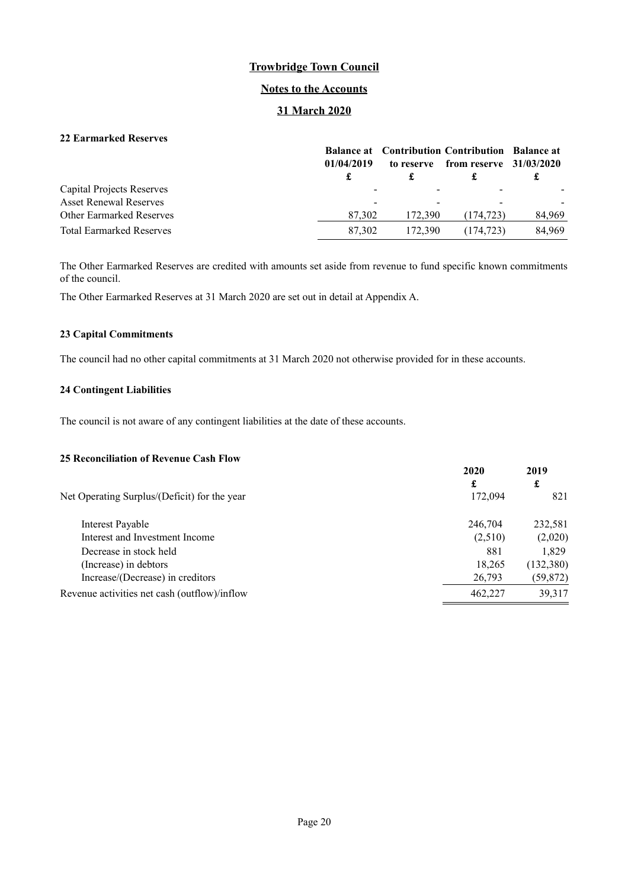### **Notes to the Accounts**

## **31 March 2020**

## **22 Earmarked Reserves**

|                                 | 01/04/2019 | to reserve | <b>Balance at</b> Contribution Contribution Balance at<br>from reserve $31/03/2020$ |        |
|---------------------------------|------------|------------|-------------------------------------------------------------------------------------|--------|
| Capital Projects Reserves       | -          |            |                                                                                     |        |
| <b>Asset Renewal Reserves</b>   | -          |            |                                                                                     |        |
| <b>Other Earmarked Reserves</b> | 87.302     | 172,390    | (174, 723)                                                                          | 84,969 |
| <b>Total Earmarked Reserves</b> | 87,302     | 172,390    | (174, 723)                                                                          | 84.969 |

The Other Earmarked Reserves are credited with amounts set aside from revenue to fund specific known commitments of the council.

The Other Earmarked Reserves at 31 March 2020 are set out in detail at Appendix A.

### **23 Capital Commitments**

The council had no other capital commitments at 31 March 2020 not otherwise provided for in these accounts.

### **24 Contingent Liabilities**

The council is not aware of any contingent liabilities at the date of these accounts.

### **25 Reconciliation of Revenue Cash Flow**

| 29 несопешанон от нетепас саян 1 юм          |           |            |
|----------------------------------------------|-----------|------------|
|                                              | 2020<br>£ | 2019<br>£  |
| Net Operating Surplus/(Deficit) for the year | 172,094   | 821        |
| Interest Payable                             | 246,704   | 232,581    |
| Interest and Investment Income               | (2,510)   | (2,020)    |
| Decrease in stock held                       | 881       | 1.829      |
| (Increase) in debtors                        | 18,265    | (132, 380) |
| Increase/(Decrease) in creditors             | 26,793    | (59, 872)  |
| Revenue activities net cash (outflow)/inflow | 462,227   | 39,317     |
|                                              |           |            |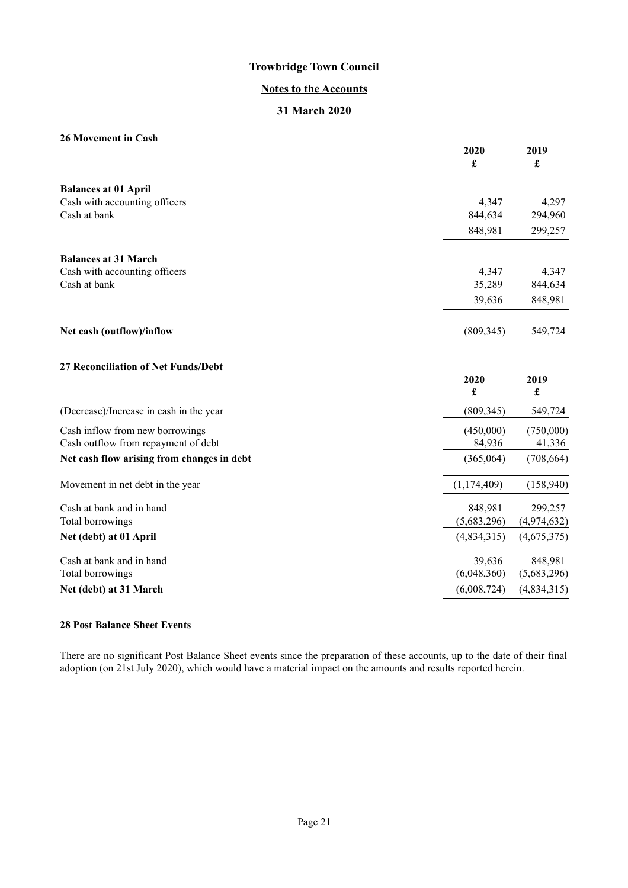## **Notes to the Accounts**

## **31 March 2020**

### **26 Movement in Cash**

| 40 іноусшсші ш Саэп                        | 2020<br>£     | 2019<br>£                    |
|--------------------------------------------|---------------|------------------------------|
| <b>Balances at 01 April</b>                |               |                              |
| Cash with accounting officers              | 4,347         | 4,297                        |
| Cash at bank                               | 844,634       | 294,960                      |
|                                            | 848,981       | 299,257                      |
| <b>Balances at 31 March</b>                |               |                              |
| Cash with accounting officers              | 4,347         | 4,347                        |
| Cash at bank                               | 35,289        | 844,634                      |
|                                            | 39,636        | 848,981                      |
| Net cash (outflow)/inflow                  | (809, 345)    | 549,724                      |
| 27 Reconciliation of Net Funds/Debt        |               |                              |
|                                            | 2020<br>£     | 2019<br>$\pmb{\mathfrak{L}}$ |
| (Decrease)/Increase in cash in the year    | (809, 345)    | 549,724                      |
| Cash inflow from new borrowings            | (450,000)     | (750,000)                    |
| Cash outflow from repayment of debt        | 84,936        | 41,336                       |
| Net cash flow arising from changes in debt | (365,064)     | (708, 664)                   |
| Movement in net debt in the year           | (1, 174, 409) | (158,940)                    |
| Cash at bank and in hand                   | 848,981       | 299,257                      |
| Total borrowings                           | (5,683,296)   | (4,974,632)                  |
| Net (debt) at 01 April                     | (4,834,315)   | (4,675,375)                  |
| Cash at bank and in hand                   | 39,636        | 848,981                      |
| Total borrowings                           | (6,048,360)   | (5,683,296)                  |
| Net (debt) at 31 March                     | (6,008,724)   | (4,834,315)                  |

### **28 Post Balance Sheet Events**

<span id="page-20-0"></span>There are no significant Post Balance Sheet events since the preparation of these accounts, up to the date of their final adoption (on 21st July 2020), which would have a material impact on the amounts and results reported herein.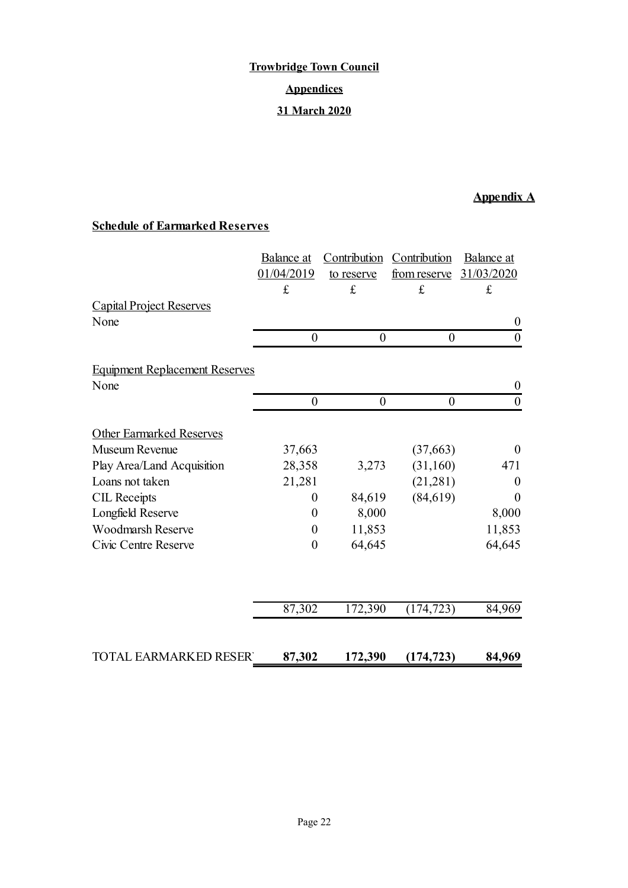# **Trowbridge Town Council Appendices 31 March 2020**

# **Appendix A**

# **Schedule of Earmarked Reserves**

|                                       | Balance at       | Contribution     | Contribution        | Balance at       |
|---------------------------------------|------------------|------------------|---------------------|------------------|
|                                       | 01/04/2019       | to reserve       | <u>from reserve</u> | 31/03/2020       |
|                                       | £                | $\mathbf f$      | $\pounds$           | $\pounds$        |
| <b>Capital Project Reserves</b>       |                  |                  |                     |                  |
| None                                  |                  |                  |                     | $\boldsymbol{0}$ |
|                                       | $\boldsymbol{0}$ | $\boldsymbol{0}$ | $\boldsymbol{0}$    | $\boldsymbol{0}$ |
| <b>Equipment Replacement Reserves</b> |                  |                  |                     |                  |
| None                                  |                  |                  |                     | $\boldsymbol{0}$ |
|                                       | $\boldsymbol{0}$ | $\boldsymbol{0}$ | $\boldsymbol{0}$    | $\boldsymbol{0}$ |
|                                       |                  |                  |                     |                  |
| <b>Other Earmarked Reserves</b>       |                  |                  |                     |                  |
| Museum Revenue                        | 37,663           |                  | (37, 663)           | $\theta$         |
| Play Area/Land Acquisition            | 28,358           | 3,273            | (31, 160)           | 471              |
| Loans not taken                       | 21,281           |                  | (21, 281)           | $\theta$         |
| <b>CIL Receipts</b>                   | $\overline{0}$   | 84,619           | (84, 619)           | $\theta$         |
| Longfield Reserve                     | $\boldsymbol{0}$ | 8,000            |                     | 8,000            |
| <b>Woodmarsh Reserve</b>              | $\boldsymbol{0}$ | 11,853           |                     | 11,853           |
| Civic Centre Reserve                  | $\boldsymbol{0}$ | 64,645           |                     | 64,645           |
|                                       |                  |                  |                     |                  |
|                                       | 87,302           | 172,390          | (174, 723)          | 84,969           |
| <b>TOTAL EARMARKED RESER</b>          | 87,302           | 172,390          | (174, 723)          | 84,969           |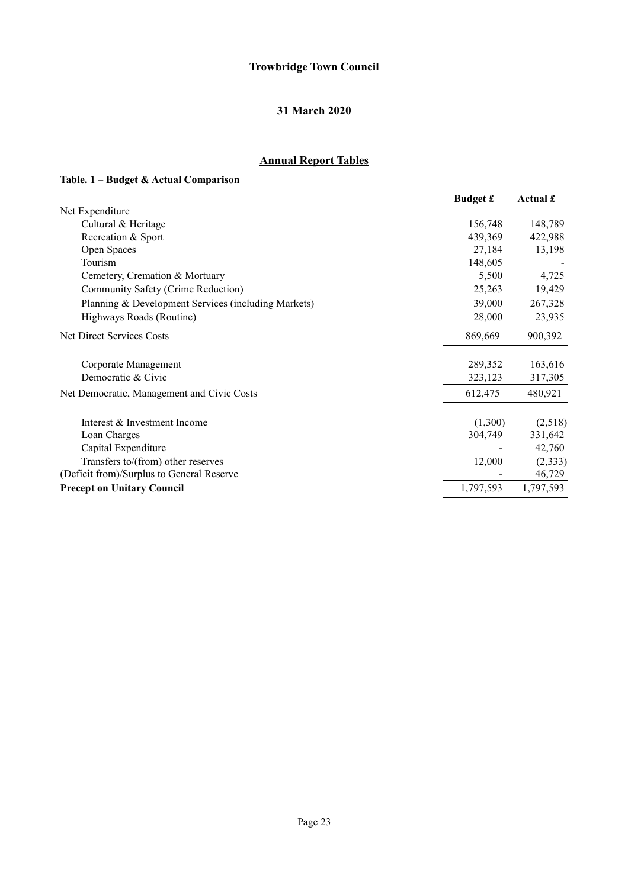## **31 March 2020**

# **Annual Report Tables**

# **Table. 1 – Budget & Actual Comparison**

|                                                     | <b>Budget £</b> | Actual £  |
|-----------------------------------------------------|-----------------|-----------|
| Net Expenditure                                     |                 |           |
| Cultural & Heritage                                 | 156,748         | 148,789   |
| Recreation & Sport                                  | 439,369         | 422,988   |
| Open Spaces                                         | 27,184          | 13,198    |
| Tourism                                             | 148,605         |           |
| Cemetery, Cremation & Mortuary                      | 5,500           | 4,725     |
| Community Safety (Crime Reduction)                  | 25,263          | 19,429    |
| Planning & Development Services (including Markets) | 39,000          | 267,328   |
| Highways Roads (Routine)                            | 28,000          | 23,935    |
| Net Direct Services Costs                           | 869,669         | 900,392   |
| Corporate Management                                | 289,352         | 163,616   |
| Democratic & Civic                                  | 323,123         | 317,305   |
| Net Democratic, Management and Civic Costs          | 612,475         | 480,921   |
| Interest & Investment Income                        | (1,300)         | (2,518)   |
| Loan Charges                                        | 304,749         | 331,642   |
| Capital Expenditure                                 |                 | 42,760    |
| Transfers to/(from) other reserves                  | 12,000          | (2, 333)  |
| (Deficit from)/Surplus to General Reserve           |                 | 46,729    |
| <b>Precept on Unitary Council</b>                   | 1,797,593       | 1,797,593 |